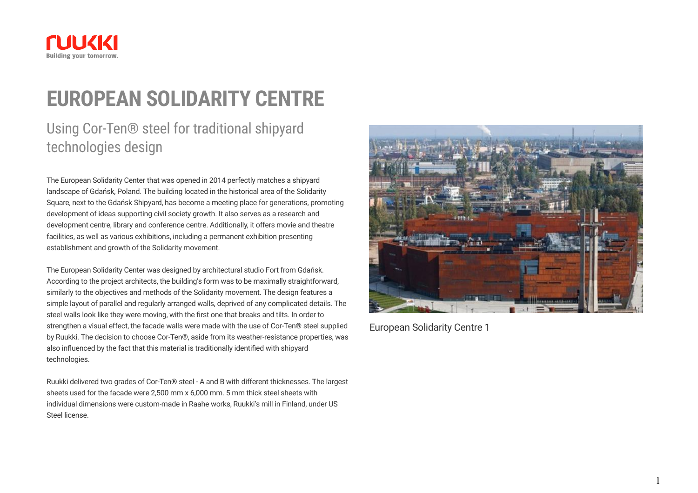

## **EUROPEAN SOLIDARITY CENTRE**

## Using Cor-Ten® steel for traditional shipyard technologies design

The European Solidarity Center that was opened in 2014 perfectly matches a shipyard landscape of Gdańsk, Poland. The building located in the historical area of the Solidarity Square, next to the Gdańsk Shipyard, has become a meeting place for generations, promoting development of ideas supporting civil society growth. It also serves as a research and development centre, library and conference centre. Additionally, it offers movie and theatre facilities, as well as various exhibitions, including a permanent exhibition presenting establishment and growth of the Solidarity movement.

The European Solidarity Center was designed by architectural studio Fort from Gdańsk. According to the project architects, the building's form was to be maximally straightforward, similarly to the objectives and methods of the Solidarity movement. The design features a simple layout of parallel and regularly arranged walls, deprived of any complicated details. The steel walls look like they were moving, with the first one that breaks and tilts. In order to strengthen a visual effect, the facade walls were made with the use of Cor-Ten® steel supplied by Ruukki. The decision to choose Cor-Ten®, aside from its weather-resistance properties, was also influenced by the fact that this material is traditionally identified with shipyard technologies.

Ruukki delivered two grades of Cor-Ten® steel - A and B with different thicknesses. The largest sheets used for the facade were 2,500 mm x 6,000 mm. 5 mm thick steel sheets with individual dimensions were custom-made in Raahe works, Ruukki's mill in Finland, under US Steel license.



European Solidarity Centre 1